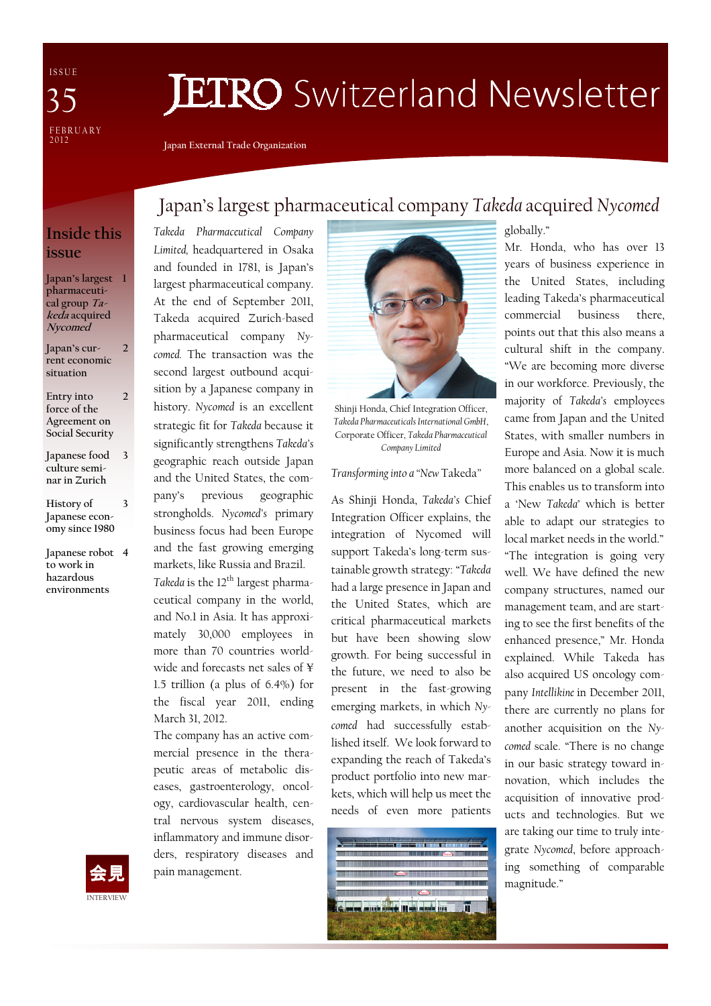I S S U E FEBRUARY<br>2012 35

## **JETRO** Switzerland Newsletter

Japan External Trade Organization

## Inside this issue

Japan's largest 1 pharmaceutical group  $Ta$ keda acquired Nycomed

Japan's current economic situation 2

- Entry into force of the Agreement on Social Security 2
- Japanese food culture seminar in Zurich 3
- History of Japanese economy since 1980 3
- Japanese robot 4 to work in hazardous environments

## Japan's largest pharmaceutical company Takeda acquired Nycomed

Takeda Pharmaceutical Company Limited, headquartered in Osaka and founded in 1781, is Japan's largest pharmaceutical company. At the end of September 2011, Takeda acquired Zurich-based pharmaceutical company Nycomed. The transaction was the second largest outbound acquisition by a Japanese company in history. Nycomed is an excellent strategic fit for Takeda because it significantly strengthens Takeda's geographic reach outside Japan and the United States, the company's previous geographic strongholds. Nycomed's primary business focus had been Europe and the fast growing emerging markets, like Russia and Brazil. Takeda is the  $12^{\text{th}}$  largest pharma-

ceutical company in the world, and No.1 in Asia. It has approximately 30,000 employees in more than 70 countries worldwide and forecasts net sales of ¥ 1.5 trillion (a plus of 6.4%) for the fiscal year 2011, ending March 31, 2012.

The company has an active commercial presence in the therapeutic areas of metabolic diseases, gastroenterology, oncology, cardiovascular health, central nervous system diseases, inflammatory and immune disorders, respiratory diseases and pain management.



Shinji Honda, Chief Integration Officer, Takeda Pharmaceuticals International GmbH, Corporate Officer, Takeda Pharmaceutical Company Limited

Transforming into a "New Takeda"

As Shinji Honda, Takeda's Chief Integration Officer explains, the integration of Nycomed will support Takeda's long-term sustainable growth strategy: "Takeda had a large presence in Japan and the United States, which are critical pharmaceutical markets but have been showing slow growth. For being successful in the future, we need to also be present in the fast-growing emerging markets, in which Nycomed had successfully established itself. We look forward to expanding the reach of Takeda's product portfolio into new markets, which will help us meet the needs of even more patients



globally."

Mr. Honda, who has over 13 years of business experience in the United States, including leading Takeda's pharmaceutical commercial business there, points out that this also means a cultural shift in the company. "We are becoming more diverse in our workforce. Previously, the majority of Takeda's employees came from Japan and the United States, with smaller numbers in Europe and Asia. Now it is much more balanced on a global scale. This enables us to transform into a 'New Takeda' which is better able to adapt our strategies to local market needs in the world." "The integration is going very well. We have defined the new company structures, named our management team, and are starting to see the first benefits of the enhanced presence," Mr. Honda explained. While Takeda has also acquired US oncology company Intellikine in December 2011, there are currently no plans for another acquisition on the Nycomed scale. "There is no change in our basic strategy toward innovation, which includes the acquisition of innovative products and technologies. But we are taking our time to truly integrate Nycomed, before approaching something of comparable magnitude."

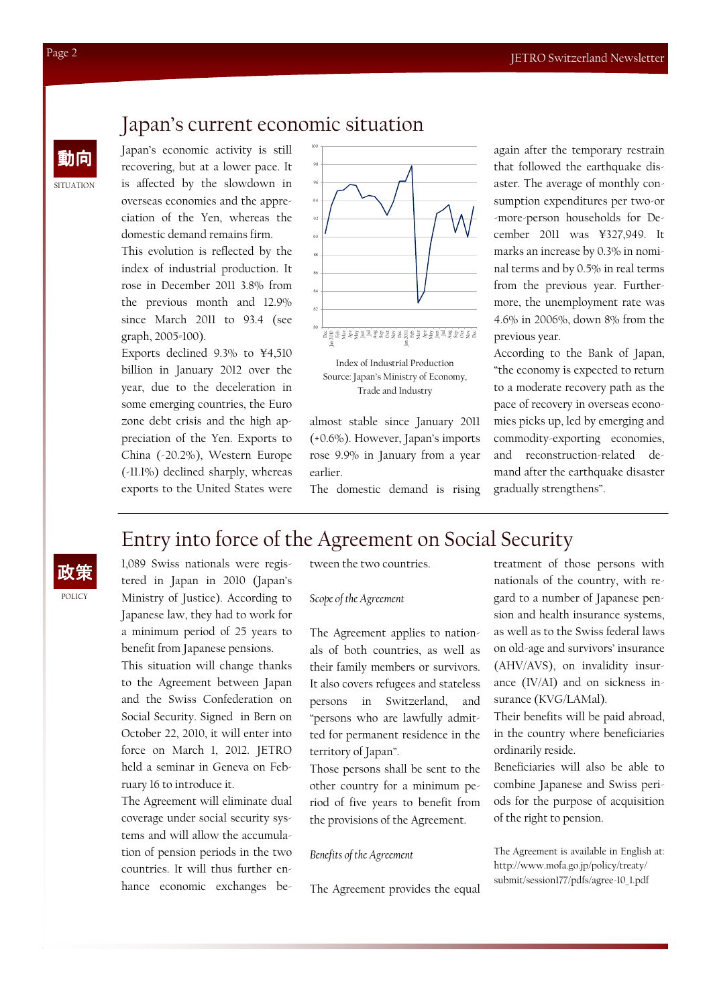## Japan's current economic situation

Japan's economic activity is still recovering, but at a lower pace. It is affected by the slowdown in overseas economies and the appreciation of the Yen, whereas the domestic demand remains firm.

This evolution is reflected by the index of industrial production. It rose in December 2011 3.8% from the previous month and 12.9% since March 2011 to 93.4 (see graph, 2005=100).

Exports declined 9.3% to ¥4,510 billion in January 2012 over the year, due to the deceleration in some emerging countries, the Euro zone debt crisis and the high appreciation of the Yen. Exports to China (-20.2%), Western Europe (-11.1%) declined sharply, whereas exports to the United States were



Index of Industrial Production Source: Japan's Ministry of Economy, Trade and Industry

almost stable since January 2011 (+0.6%). However, Japan's imports rose 9.9% in January from a year earlier.

The domestic demand is rising

again after the temporary restrain that followed the earthquake disaster. The average of monthly consumption expenditures per two-or -more-person households for December 2011 was ¥327,949. It marks an increase by 0.3% in nominal terms and by 0.5% in real terms from the previous year. Furthermore, the unemployment rate was 4.6% in 2006%, down 8% from the previous year.

According to the Bank of Japan, "the economy is expected to return to a moderate recovery path as the pace of recovery in overseas economies picks up, led by emerging and commodity-exporting economies, and reconstruction-related demand after the earthquake disaster gradually strengthens".

## Entry into force of the Agreement on Social Security

**POLICY** 政策

1,089 Swiss nationals were registered in Japan in 2010 (Japan's Ministry of Justice). According to Japanese law, they had to work for a minimum period of 25 years to benefit from Japanese pensions.

This situation will change thanks to the Agreement between Japan and the Swiss Confederation on Social Security. Signed in Bern on October 22, 2010, it will enter into force on March 1, 2012. JETRO held a seminar in Geneva on February 16 to introduce it.

The Agreement will eliminate dual coverage under social security systems and will allow the accumulation of pension periods in the two countries. It will thus further enhance economic exchanges between the two countries.

#### Scope of the Agreement

The Agreement applies to nationals of both countries, as well as their family members or survivors. It also covers refugees and stateless persons in Switzerland, and "persons who are lawfully admitted for permanent residence in the territory of Japan".

Those persons shall be sent to the other country for a minimum period of five years to benefit from the provisions of the Agreement.

#### Benefits of the Agreement

The Agreement provides the equal

treatment of those persons with nationals of the country, with regard to a number of Japanese pension and health insurance systems, as well as to the Swiss federal laws on old-age and survivors' insurance (AHV/AVS), on invalidity insurance (IV/AI) and on sickness insurance (KVG/LAMal).

Their benefits will be paid abroad, in the country where beneficiaries ordinarily reside.

Beneficiaries will also be able to combine Japanese and Swiss periods for the purpose of acquisition of the right to pension.

The Agreement is available in English at: http://www.mofa.go.jp/policy/treaty/ submit/session177/pdfs/agree-10\_1.pdf

**SITUATION** 

動向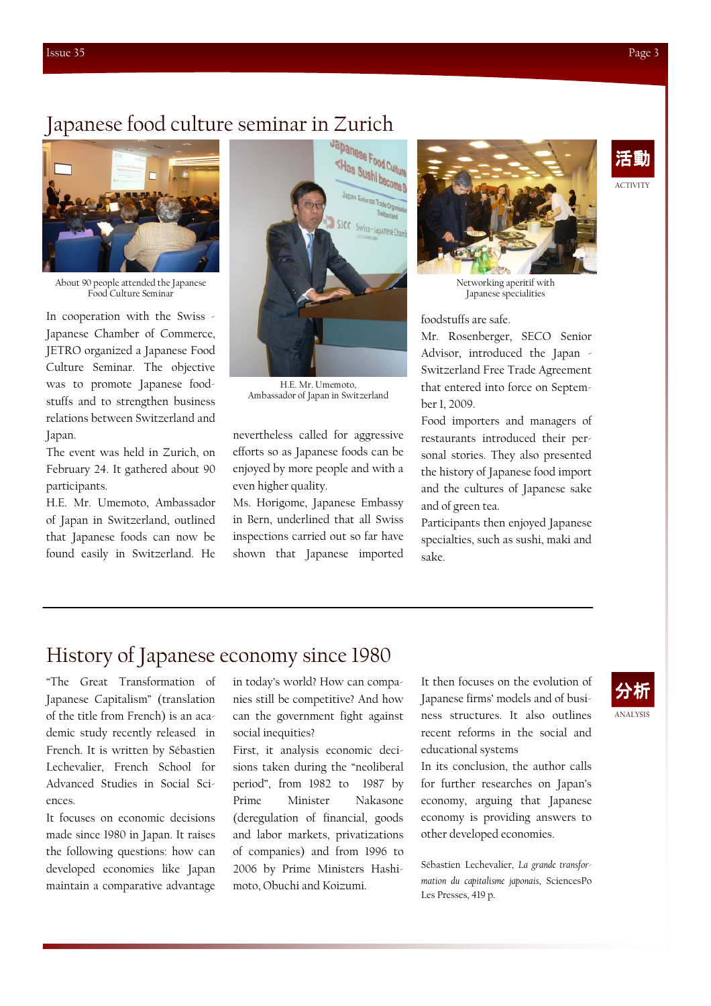ACTIVITY

活動

# Japanese food culture seminar in Zurich



About 90 people attended the Japanese Food Culture Seminar

In cooperation with the Swiss - Japanese Chamber of Commerce, JETRO organized a Japanese Food Culture Seminar. The objective was to promote Japanese foodstuffs and to strengthen business relations between Switzerland and Japan.

The event was held in Zurich, on February 24. It gathered about 90 participants.

H.E. Mr. Umemoto, Ambassador of Japan in Switzerland, outlined that Japanese foods can now be found easily in Switzerland. He



H.E. Mr. Umemoto, Ambassador of Japan in Switzerland

nevertheless called for aggressive efforts so as Japanese foods can be enjoyed by more people and with a even higher quality.

Ms. Horigome, Japanese Embassy in Bern, underlined that all Swiss inspections carried out so far have shown that Japanese imported



Networking aperitif with Japanese specialities

foodstuffs are safe.

Mr. Rosenberger, SECO Senior Advisor, introduced the Japan - Switzerland Free Trade Agreement that entered into force on September 1, 2009.

Food importers and managers of restaurants introduced their personal stories. They also presented the history of Japanese food import and the cultures of Japanese sake and of green tea.

Participants then enjoyed Japanese specialties, such as sushi, maki and sake.

## History of Japanese economy since 1980

"The Great Transformation of Japanese Capitalism" (translation of the title from French) is an academic study recently released in French. It is written by Sébastien Lechevalier, French School for Advanced Studies in Social Sciences.

It focuses on economic decisions made since 1980 in Japan. It raises the following questions: how can developed economies like Japan maintain a comparative advantage

in today's world? How can companies still be competitive? And how can the government fight against social inequities?

First, it analysis economic decisions taken during the "neoliberal period", from 1982 to 1987 by Prime Minister Nakasone (deregulation of financial, goods and labor markets, privatizations of companies) and from 1996 to 2006 by Prime Ministers Hashimoto, Obuchi and Koizumi.

It then focuses on the evolution of Japanese firms' models and of business structures. It also outlines recent reforms in the social and educational systems

In its conclusion, the author calls for further researches on Japan's economy, arguing that Japanese economy is providing answers to other developed economies.

Sébastien Lechevalier, La grande transformation du capitalisme japonais, SciencesPo Les Presses, 419 p.